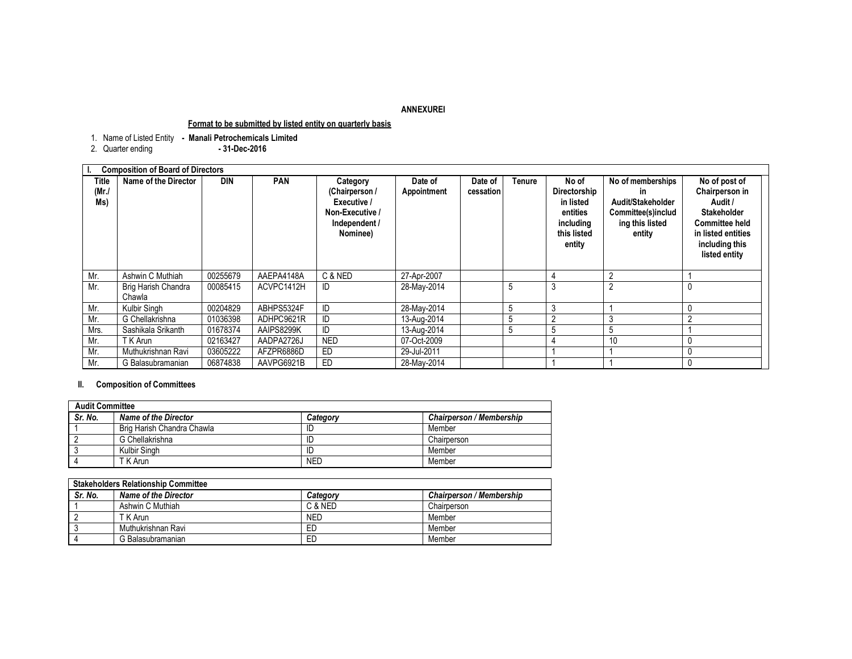## **ANNEXUREI**

## **Format to be submitted by listed entity on quarterly basis**

1. Name of Listed Entity **- Manali Petrochemicals Limited**

2. Quarter ending **- 31-Dec-2016**

|                          | <b>Composition of Board of Directors</b> |            |            |                                                                                           |                        |                      |        |                                                                                      |                                                                                                 |                                                                                                                                                    |
|--------------------------|------------------------------------------|------------|------------|-------------------------------------------------------------------------------------------|------------------------|----------------------|--------|--------------------------------------------------------------------------------------|-------------------------------------------------------------------------------------------------|----------------------------------------------------------------------------------------------------------------------------------------------------|
| Title<br>$(Mr$ ./<br>Ms) | Name of the Director                     | <b>DIN</b> | <b>PAN</b> | Category<br>(Chairperson /<br>Executive /<br>Non-Executive /<br>Independent /<br>Nominee) | Date of<br>Appointment | Date of<br>cessation | Tenure | No of<br>Directorship<br>in listed<br>entities<br>including<br>this listed<br>entity | No of memberships<br>in<br>Audit/Stakeholder<br>Committee(s)includ<br>ing this listed<br>entity | No of post of<br>Chairperson in<br>Audit /<br><b>Stakeholder</b><br><b>Committee held</b><br>in listed entities<br>including this<br>listed entity |
| Mr.                      | Ashwin C Muthiah                         | 00255679   | AAEPA4148A | C & NED                                                                                   | 27-Apr-2007            |                      |        |                                                                                      |                                                                                                 |                                                                                                                                                    |
| Mr.                      | Brig Harish Chandra<br>Chawla            | 00085415   | ACVPC1412H | ID                                                                                        | 28-May-2014            |                      | 5      | 3                                                                                    | $\overline{2}$                                                                                  |                                                                                                                                                    |
| Mr.                      | Kulbir Singh                             | 00204829   | ABHPS5324F | ID                                                                                        | 28-May-2014            |                      | 5      | 3                                                                                    |                                                                                                 |                                                                                                                                                    |
| Mr.                      | G Chellakrishna                          | 01036398   | ADHPC9621R | ID                                                                                        | 13-Aug-2014            |                      | 5      | $\sim$                                                                               |                                                                                                 | $\overline{2}$                                                                                                                                     |
| Mrs.                     | Sashikala Srikanth                       | 01678374   | AAIPS8299K | ID                                                                                        | 13-Aug-2014            |                      | b.     | b                                                                                    | 5                                                                                               |                                                                                                                                                    |
| Mr.                      | T K Arun                                 | 02163427   | AADPA2726J | <b>NED</b>                                                                                | 07-Oct-2009            |                      |        |                                                                                      | 10                                                                                              |                                                                                                                                                    |
| Mr.                      | Muthukrishnan Ravi                       | 03605222   | AFZPR6886D | <b>ED</b>                                                                                 | 29-Jul-2011            |                      |        |                                                                                      |                                                                                                 |                                                                                                                                                    |
| Mr.                      | G Balasubramanian                        | 06874838   | AAVPG6921B | ED                                                                                        | 28-May-2014            |                      |        |                                                                                      |                                                                                                 |                                                                                                                                                    |

## **II. Composition of Committees**

| <b>Audit Committee</b> |                             |            |                          |  |  |
|------------------------|-----------------------------|------------|--------------------------|--|--|
| Sr. No.                | <b>Name of the Director</b> | Category   | Chairperson / Membership |  |  |
|                        | Brig Harish Chandra Chawla  | ID         | Member                   |  |  |
|                        | G Chellakrishna             | ID         | Chairperson              |  |  |
|                        | Kulbir Singh                | ID         | Member                   |  |  |
|                        | T K Arun                    | <b>NED</b> | Member                   |  |  |

| <b>Stakeholders Relationship Committee</b> |                      |            |                          |  |  |
|--------------------------------------------|----------------------|------------|--------------------------|--|--|
| Sr. No.                                    | Name of the Director | Category   | Chairperson / Membership |  |  |
|                                            | Ashwin C Muthiah     | C & NED    | Chairperson              |  |  |
|                                            | T K Arun             | <b>NED</b> | Member                   |  |  |
|                                            | Muthukrishnan Ravi   | ED         | Member                   |  |  |
|                                            | G Balasubramanian    | ED         | Member                   |  |  |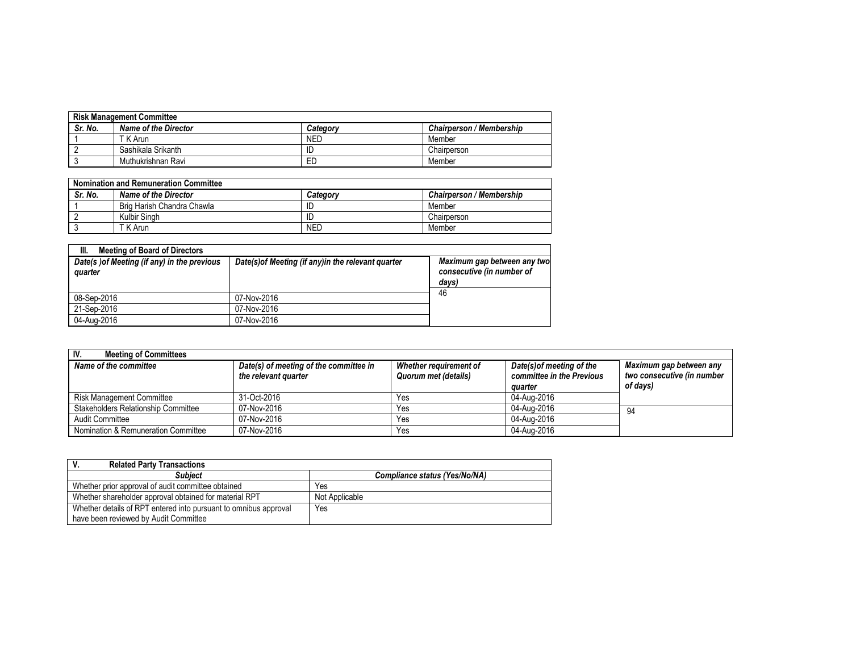| <b>Risk Management Committee</b> |                      |            |                                 |  |  |
|----------------------------------|----------------------|------------|---------------------------------|--|--|
| Sr. No.                          | Name of the Director | Category   | <b>Chairperson / Membership</b> |  |  |
|                                  | T K Arun             | <b>NED</b> | Member                          |  |  |
|                                  | Sashikala Srikanth   | ID         | Chairperson                     |  |  |
|                                  | Muthukrishnan Ravi   | ED         | Member                          |  |  |

| <b>Nomination and Remuneration Committee</b> |                            |            |                                 |  |  |
|----------------------------------------------|----------------------------|------------|---------------------------------|--|--|
| Sr. No.                                      | Name of the Director       | Category   | <b>Chairperson / Membership</b> |  |  |
|                                              | Brig Harish Chandra Chawla | -ID        | Member                          |  |  |
|                                              | Kulbir Singh               | ID         | Chairperson                     |  |  |
|                                              | T K Arun                   | <b>NED</b> | Member                          |  |  |

| III.<br><b>Meeting of Board of Directors</b>           |                                                     |                                                                   |
|--------------------------------------------------------|-----------------------------------------------------|-------------------------------------------------------------------|
| Date(s) of Meeting (if any) in the previous<br>quarter | Date(s) of Meeting (if any) in the relevant quarter | Maximum gap between any two<br>consecutive (in number of<br>days) |
| 08-Sep-2016                                            | 07-Nov-2016                                         | 46                                                                |
| 21-Sep-2016                                            | 07-Nov-2016                                         |                                                                   |
| 04-Aug-2016                                            | 07-Nov-2016                                         |                                                                   |

| IV.<br><b>Meeting of Committees</b> |                                                                |                                                |                                                                   |                                                                   |  |  |
|-------------------------------------|----------------------------------------------------------------|------------------------------------------------|-------------------------------------------------------------------|-------------------------------------------------------------------|--|--|
| Name of the committee               | Date(s) of meeting of the committee in<br>the relevant quarter | Whether reauirement of<br>Quorum met (details) | Date(s) of meeting of the<br>committee in the Previous<br>auarter | Maximum gap between any<br>two consecutive (in number<br>of days) |  |  |
| Risk Management Committee           | 31-Oct-2016                                                    | Yes                                            | 04-Aug-2016                                                       |                                                                   |  |  |
| Stakeholders Relationship Committee | 07-Nov-2016                                                    | Yes                                            | 04-Aug-2016                                                       | 94                                                                |  |  |
| Audit Committee                     | 07-Nov-2016                                                    | Yes                                            | 04-Aug-2016                                                       |                                                                   |  |  |
| Nomination & Remuneration Committee | 07-Nov-2016                                                    | Yes                                            | 04-Aug-2016                                                       |                                                                   |  |  |

| <b>Related Party Transactions</b>                                |                               |
|------------------------------------------------------------------|-------------------------------|
| <b>Subject</b>                                                   | Compliance status (Yes/No/NA) |
| Whether prior approval of audit committee obtained               | Yes                           |
| Whether shareholder approval obtained for material RPT           | Not Applicable                |
| Whether details of RPT entered into pursuant to omnibus approval | Yes                           |
| have been reviewed by Audit Committee                            |                               |